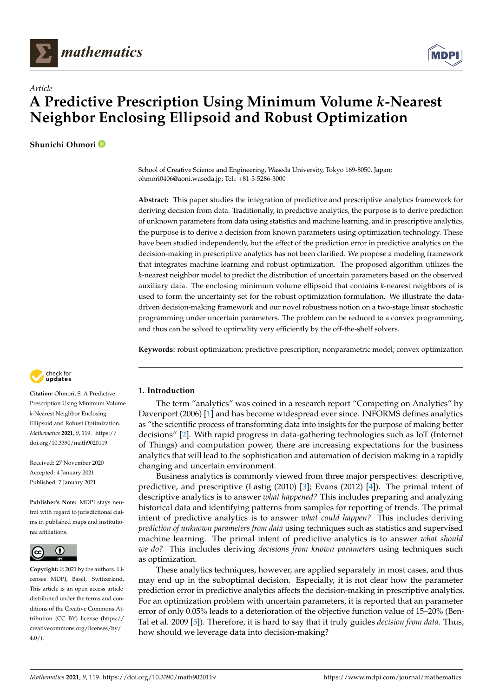



# *Article* **A Predictive Prescription Using Minimum Volume** *k***-Nearest Neighbor Enclosing Ellipsoid and Robust Optimization**

**Shunichi Ohmori**

School of Creative Science and Engineering, Waseda University, Tokyo 169-8050, Japan; ohmori0406@aoni.waseda.jp; Tel.: +81-3-5286-3000

**Abstract:** This paper studies the integration of predictive and prescriptive analytics framework for deriving decision from data. Traditionally, in predictive analytics, the purpose is to derive prediction of unknown parameters from data using statistics and machine learning, and in prescriptive analytics, the purpose is to derive a decision from known parameters using optimization technology. These have been studied independently, but the effect of the prediction error in predictive analytics on the decision-making in prescriptive analytics has not been clarified. We propose a modeling framework that integrates machine learning and robust optimization. The proposed algorithm utilizes the *k*-nearest neighbor model to predict the distribution of uncertain parameters based on the observed auxiliary data. The enclosing minimum volume ellipsoid that contains *k*-nearest neighbors of is used to form the uncertainty set for the robust optimization formulation. We illustrate the datadriven decision-making framework and our novel robustness notion on a two-stage linear stochastic programming under uncertain parameters. The problem can be reduced to a convex programming, and thus can be solved to optimality very efficiently by the off-the-shelf solvers.

**Keywords:** robust optimization; predictive prescription; nonparametric model; convex optimization



**Citation:** Ohmori, S. A Predictive Prescription Using Minimum Volume *k*-Nearest Neighbor Enclosing Ellipsoid and Robust Optimization. *Mathematics* **2021**, *9*, 119. [https://](https://doi.org/10.3390/math9020119) [doi.org/10.3390/math9020119](https://doi.org/10.3390/math9020119)

Received: 27 November 2020 Accepted: 4 January 2021 Published: 7 January 2021

**Publisher's Note:** MDPI stays neutral with regard to jurisdictional claims in published maps and institutional affiliations.



**Copyright:** © 2021 by the authors. Licensee MDPI, Basel, Switzerland. This article is an open access article distributed under the terms and conditions of the Creative Commons Attribution (CC BY) license [\(https://](https://creativecommons.org/licenses/by/4.0/) [creativecommons.org/licenses/by/](https://creativecommons.org/licenses/by/4.0/)  $4.0/$ ).

# **1. Introduction**

The term "analytics" was coined in a research report "Competing on Analytics" by Davenport (2006) [\[1\]](#page-14-0) and has become widespread ever since. INFORMS defines analytics as "the scientific process of transforming data into insights for the purpose of making better decisions" [\[2\]](#page-14-1). With rapid progress in data-gathering technologies such as IoT (Internet of Things) and computation power, there are increasing expectations for the business analytics that will lead to the sophistication and automation of decision making in a rapidly changing and uncertain environment.

Business analytics is commonly viewed from three major perspectives: descriptive, predictive, and prescriptive (Lastig (2010) [\[3\]](#page-14-2); Evans (2012) [\[4\]](#page-14-3)). The primal intent of descriptive analytics is to answer *what happened?* This includes preparing and analyzing historical data and identifying patterns from samples for reporting of trends. The primal intent of predictive analytics is to answer *what could happen?* This includes deriving *prediction of unknown parameters from data* using techniques such as statistics and supervised machine learning. The primal intent of predictive analytics is to answer *what should we do?* This includes deriving *decisions from known parameters* using techniques such as optimization.

These analytics techniques, however, are applied separately in most cases, and thus may end up in the suboptimal decision. Especially, it is not clear how the parameter prediction error in predictive analytics affects the decision-making in prescriptive analytics. For an optimization problem with uncertain parameters, it is reported that an parameter error of only 0.05% leads to a deterioration of the objective function value of 15–20% (Ben-Tal et al. 2009 [\[5\]](#page-14-4)). Therefore, it is hard to say that it truly guides *decision from data*. Thus, how should we leverage data into decision-making?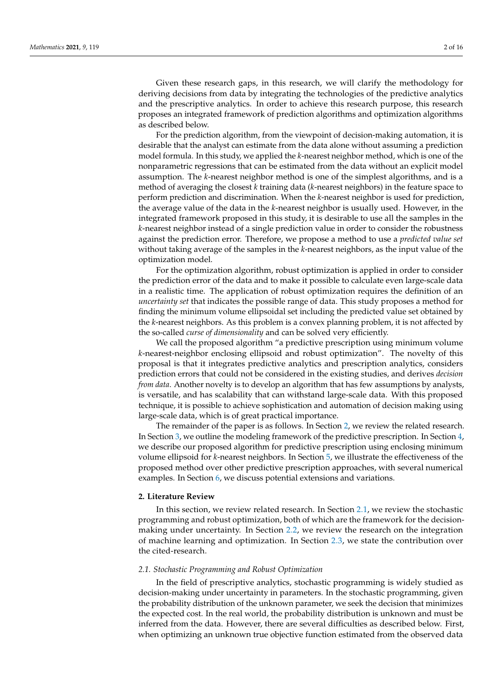Given these research gaps, in this research, we will clarify the methodology for deriving decisions from data by integrating the technologies of the predictive analytics and the prescriptive analytics. In order to achieve this research purpose, this research proposes an integrated framework of prediction algorithms and optimization algorithms as described below.

For the prediction algorithm, from the viewpoint of decision-making automation, it is desirable that the analyst can estimate from the data alone without assuming a prediction model formula. In this study, we applied the *k*-nearest neighbor method, which is one of the nonparametric regressions that can be estimated from the data without an explicit model assumption. The *k*-nearest neighbor method is one of the simplest algorithms, and is a method of averaging the closest *k* training data (*k*-nearest neighbors) in the feature space to perform prediction and discrimination. When the *k*-nearest neighbor is used for prediction, the average value of the data in the *k*-nearest neighbor is usually used. However, in the integrated framework proposed in this study, it is desirable to use all the samples in the *k*-nearest neighbor instead of a single prediction value in order to consider the robustness against the prediction error. Therefore, we propose a method to use a *predicted value set* without taking average of the samples in the *k*-nearest neighbors, as the input value of the optimization model.

For the optimization algorithm, robust optimization is applied in order to consider the prediction error of the data and to make it possible to calculate even large-scale data in a realistic time. The application of robust optimization requires the definition of an *uncertainty set* that indicates the possible range of data. This study proposes a method for finding the minimum volume ellipsoidal set including the predicted value set obtained by the *k*-nearest neighbors. As this problem is a convex planning problem, it is not affected by the so-called *curse of dimensionality* and can be solved very efficiently.

We call the proposed algorithm "a predictive prescription using minimum volume *k*-nearest-neighbor enclosing ellipsoid and robust optimization". The novelty of this proposal is that it integrates predictive analytics and prescription analytics, considers prediction errors that could not be considered in the existing studies, and derives *decision from data*. Another novelty is to develop an algorithm that has few assumptions by analysts, is versatile, and has scalability that can withstand large-scale data. With this proposed technique, it is possible to achieve sophistication and automation of decision making using large-scale data, which is of great practical importance.

The remainder of the paper is as follows. In Section [2,](#page-1-0) we review the related research. In Section [3,](#page-4-0) we outline the modeling framework of the predictive prescription. In Section [4,](#page-7-0) we describe our proposed algorithm for predictive prescription using enclosing minimum volume ellipsoid for *k*-nearest neighbors. In Section [5,](#page-9-0) we illustrate the effectiveness of the proposed method over other predictive prescription approaches, with several numerical examples. In Section [6,](#page-13-0) we discuss potential extensions and variations.

#### <span id="page-1-0"></span>**2. Literature Review**

In this section, we review related research. In Section [2.1,](#page-1-1) we review the stochastic programming and robust optimization, both of which are the framework for the decisionmaking under uncertainty. In Section [2.2,](#page-2-0) we review the research on the integration of machine learning and optimization. In Section [2.3,](#page-3-0) we state the contribution over the cited-research.

# <span id="page-1-1"></span>*2.1. Stochastic Programming and Robust Optimization*

In the field of prescriptive analytics, stochastic programming is widely studied as decision-making under uncertainty in parameters. In the stochastic programming, given the probability distribution of the unknown parameter, we seek the decision that minimizes the expected cost. In the real world, the probability distribution is unknown and must be inferred from the data. However, there are several difficulties as described below. First, when optimizing an unknown true objective function estimated from the observed data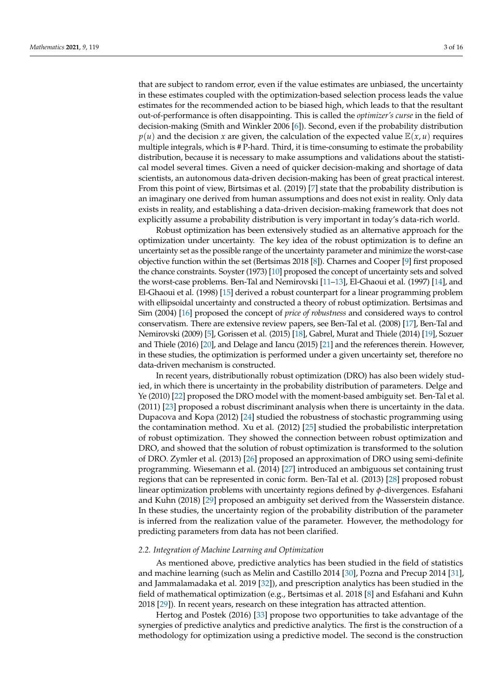that are subject to random error, even if the value estimates are unbiased, the uncertainty in these estimates coupled with the optimization-based selection process leads the value estimates for the recommended action to be biased high, which leads to that the resultant out-of-performance is often disappointing. This is called the *optimizer's curse* in the field of decision-making (Smith and Winkler 2006 [\[6\]](#page-14-5)). Second, even if the probability distribution  $p(u)$  and the decision *x* are given, the calculation of the expected value  $E(x, u)$  requires multiple integrals, which is # P-hard. Third, it is time-consuming to estimate the probability distribution, because it is necessary to make assumptions and validations about the statistical model several times. Given a need of quicker decision-making and shortage of data scientists, an autonomous data-driven decision-making has been of great practical interest. From this point of view, Birtsimas et al. (2019) [\[7\]](#page-14-6) state that the probability distribution is an imaginary one derived from human assumptions and does not exist in reality. Only data exists in reality, and establishing a data-driven decision-making framework that does not explicitly assume a probability distribution is very important in today's data-rich world.

Robust optimization has been extensively studied as an alternative approach for the optimization under uncertainty. The key idea of the robust optimization is to define an uncertainty set as the possible range of the uncertainty parameter and minimize the worst-case objective function within the set (Bertsimas 2018 [\[8\]](#page-14-7)). Charnes and Cooper [\[9\]](#page-14-8) first proposed the chance constraints. Soyster (1973) [\[10\]](#page-14-9) proposed the concept of uncertainty sets and solved the worst-case problems. Ben-Tal and Nemirovski [\[11–](#page-14-10)[13\]](#page-14-11), El-Ghaoui et al. (1997) [\[14\]](#page-14-12), and El-Ghaoui et al. (1998) [\[15\]](#page-14-13) derived a robust counterpart for a linear programming problem with ellipsoidal uncertainty and constructed a theory of robust optimization. Bertsimas and Sim (2004) [\[16\]](#page-14-14) proposed the concept of *price of robustness* and considered ways to control conservatism. There are extensive review papers, see Ben-Tal et al. (2008) [\[17\]](#page-14-15), Ben-Tal and Nemirovski (2009) [\[5\]](#page-14-4), Gorissen et al. (2015) [\[18\]](#page-14-16), Gabrel, Murat and Thiele (2014) [\[19\]](#page-14-17), Sozuer and Thiele (2016) [\[20\]](#page-14-18), and Delage and Iancu (2015) [\[21\]](#page-14-19) and the references therein. However, in these studies, the optimization is performed under a given uncertainty set, therefore no data-driven mechanism is constructed.

In recent years, distributionally robust optimization (DRO) has also been widely studied, in which there is uncertainty in the probability distribution of parameters. Delge and Ye (2010) [\[22\]](#page-14-20) proposed the DRO model with the moment-based ambiguity set. Ben-Tal et al. (2011) [\[23\]](#page-14-21) proposed a robust discriminant analysis when there is uncertainty in the data. Dupacova and Kopa (2012) [\[24\]](#page-14-22) studied the robustness of stochastic programming using the contamination method. Xu et al. (2012) [\[25\]](#page-14-23) studied the probabilistic interpretation of robust optimization. They showed the connection between robust optimization and DRO, and showed that the solution of robust optimization is transformed to the solution of DRO. Zymler et al. (2013) [\[26\]](#page-14-24) proposed an approximation of DRO using semi-definite programming. Wiesemann et al. (2014) [\[27\]](#page-14-25) introduced an ambiguous set containing trust regions that can be represented in conic form. Ben-Tal et al. (2013) [\[28\]](#page-14-26) proposed robust linear optimization problems with uncertainty regions defined by *φ*-divergences. Esfahani and Kuhn (2018) [\[29\]](#page-14-27) proposed an ambiguity set derived from the Wasserstein distance. In these studies, the uncertainty region of the probability distribution of the parameter is inferred from the realization value of the parameter. However, the methodology for predicting parameters from data has not been clarified.

#### <span id="page-2-0"></span>*2.2. Integration of Machine Learning and Optimization*

As mentioned above, predictive analytics has been studied in the field of statistics and machine learning (such as Melin and Castillo 2014 [\[30\]](#page-14-28), Pozna and Precup 2014 [\[31\]](#page-14-29), and Jammalamadaka et al. 2019 [\[32\]](#page-15-0)), and prescription analytics has been studied in the field of mathematical optimization (e.g., Bertsimas et al. 2018 [\[8\]](#page-14-7) and Esfahani and Kuhn 2018 [\[29\]](#page-14-27)). In recent years, research on these integration has attracted attention.

Hertog and Postek (2016) [\[33\]](#page-15-1) propose two opportunities to take advantage of the synergies of predictive analytics and predictive analytics. The first is the construction of a methodology for optimization using a predictive model. The second is the construction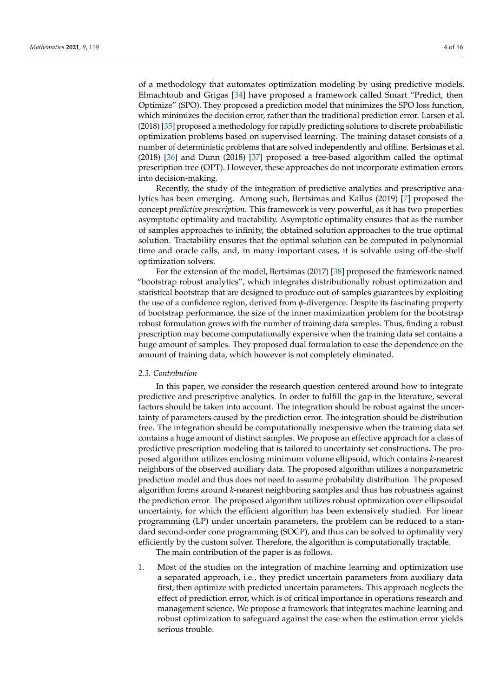of a methodology that automates optimization modeling by using predictive models. Elmachtoub and Grigas [\[34\]](#page-15-2) have proposed a framework called Smart "Predict, then Optimize" (SPO). They proposed a prediction model that minimizes the SPO loss function, which minimizes the decision error, rather than the traditional prediction error. Larsen et al. (2018) [\[35\]](#page-15-3) proposed a methodology for rapidly predicting solutions to discrete probabilistic optimization problems based on supervised learning. The training dataset consists of a number of deterministic problems that are solved independently and offline. Bertsimas et al. (2018) [\[36\]](#page-15-4) and Dunn (2018) [\[37\]](#page-15-5) proposed a tree-based algorithm called the optimal prescription tree (OPT). However, these approaches do not incorporate estimation errors into decision-making.

Recently, the study of the integration of predictive analytics and prescriptive analytics has been emerging. Among such, Bertsimas and Kallus (2019) [\[7\]](#page-14-6) proposed the concept *predictive prescription*. This framework is very powerful, as it has two properties: asymptotic optimality and tractability. Asymptotic optimality ensures that as the number of samples approaches to infinity, the obtained solution approaches to the true optimal solution. Tractability ensures that the optimal solution can be computed in polynomial time and oracle calls, and, in many important cases, it is solvable using off-the-shelf optimization solvers.

For the extension of the model, Bertsimas (2017) [\[38\]](#page-15-6) proposed the framework named "bootstrap robust analytics", which integrates distributionally robust optimization and statistical bootstrap that are designed to produce out-of-samples guarantees by exploiting the use of a confidence region, derived from *φ*-divergence. Despite its fascinating property of bootstrap performance, the size of the inner maximization problem for the bootstrap robust formulation grows with the number of training data samples. Thus, finding a robust prescription may become computationally expensive when the training data set contains a huge amount of samples. They proposed dual formulation to ease the dependence on the amount of training data, which however is not completely eliminated.

#### <span id="page-3-0"></span>*2.3. Contribution*

In this paper, we consider the research question centered around how to integrate predictive and prescriptive analytics. In order to fulfill the gap in the literature, several factors should be taken into account. The integration should be robust against the uncertainty of parameters caused by the prediction error. The integration should be distribution free. The integration should be computationally inexpensive when the training data set contains a huge amount of distinct samples. We propose an effective approach for a class of predictive prescription modeling that is tailored to uncertainty set constructions. The proposed algorithm utilizes enclosing minimum volume ellipsoid, which contains *k*-nearest neighbors of the observed auxiliary data. The proposed algorithm utilizes a nonparametric prediction model and thus does not need to assume probability distribution. The proposed algorithm forms around *k*-nearest neighboring samples and thus has robustness against the prediction error. The proposed algorithm utilizes robust optimization over ellipsoidal uncertainty, for which the efficient algorithm has been extensively studied. For linear programming (LP) under uncertain parameters, the problem can be reduced to a standard second-order cone programming (SOCP), and thus can be solved to optimality very efficiently by the custom solver. Therefore, the algorithm is computationally tractable.

The main contribution of the paper is as follows.

1. Most of the studies on the integration of machine learning and optimization use a separated approach, i.e., they predict uncertain parameters from auxiliary data first, then optimize with predicted uncertain parameters. This approach neglects the effect of prediction error, which is of critical importance in operations research and management science. We propose a framework that integrates machine learning and robust optimization to safeguard against the case when the estimation error yields serious trouble.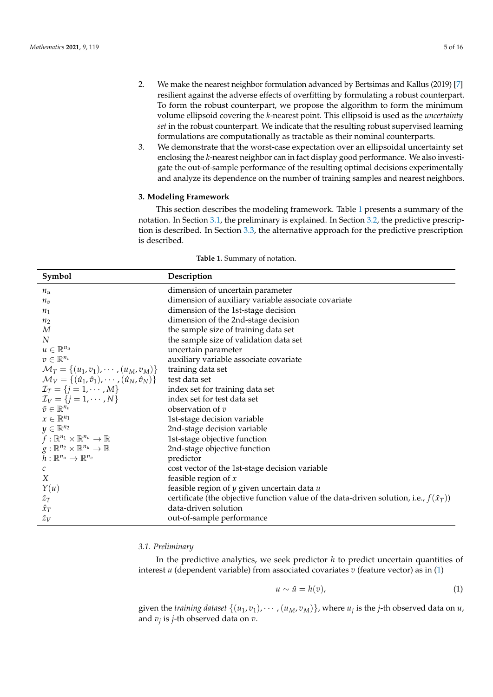- 2. We make the nearest neighbor formulation advanced by Bertsimas and Kallus (2019) [\[7\]](#page-14-6) resilient against the adverse effects of overfitting by formulating a robust counterpart. To form the robust counterpart, we propose the algorithm to form the minimum volume ellipsoid covering the *k*-nearest point. This ellipsoid is used as the *uncertainty set* in the robust counterpart. We indicate that the resulting robust supervised learning formulations are computationally as tractable as their nominal counterparts.
- 3. We demonstrate that the worst-case expectation over an ellipsoidal uncertainty set enclosing the *k*-nearest neighbor can in fact display good performance. We also investigate the out-of-sample performance of the resulting optimal decisions experimentally and analyze its dependence on the number of training samples and nearest neighbors.

# <span id="page-4-0"></span>**3. Modeling Framework**

This section describes the modeling framework. Table [1](#page-4-1) presents a summary of the notation. In Section [3.1,](#page-4-2) the preliminary is explained. In Section [3.2,](#page-5-0) the predictive prescription is described. In Section [3.3,](#page-6-0) the alternative approach for the predictive prescription is described.

<span id="page-4-1"></span>

| Symbol                                                                        | Description                                                                                   |
|-------------------------------------------------------------------------------|-----------------------------------------------------------------------------------------------|
| $n_u$                                                                         | dimension of uncertain parameter                                                              |
| $n_v$                                                                         | dimension of auxiliary variable associate covariate                                           |
| $n_1$                                                                         | dimension of the 1st-stage decision                                                           |
| n <sub>2</sub>                                                                | dimension of the 2nd-stage decision                                                           |
| $\boldsymbol{M}$                                                              | the sample size of training data set                                                          |
| $\overline{N}$                                                                | the sample size of validation data set                                                        |
| $u \in \mathbb{R}^{n_u}$                                                      | uncertain parameter                                                                           |
| $v \in \mathbb{R}^{n_v}$                                                      | auxiliary variable associate covariate                                                        |
| $\mathcal{M}_T = \{(u_1, v_1), \cdots, (u_M, v_M)\}\$                         | training data set                                                                             |
| $\mathcal{M}_V = \{(\hat{u}_1, \hat{v}_1), \cdots, (\hat{u}_N, \hat{v}_N)\}\$ | test data set                                                                                 |
| $\mathcal{I}_T = \{j = 1, \cdots, M\}$                                        | index set for training data set                                                               |
| $\mathcal{I}_V = \{j = 1, \cdots, N\}$                                        | index set for test data set                                                                   |
| $\bar{v} \in \mathbb{R}^{n_v}$                                                | observation of $v$                                                                            |
| $x \in \mathbb{R}^{n_1}$                                                      | 1st-stage decision variable                                                                   |
| $y \in \mathbb{R}^{n_2}$                                                      | 2nd-stage decision variable                                                                   |
| $f:\mathbb{R}^{n_1}\times\mathbb{R}^{n_u}\to\mathbb{R}$                       | 1st-stage objective function                                                                  |
| $g:\mathbb{R}^{n_2}\times\mathbb{R}^{n_u}\to\mathbb{R}$                       | 2nd-stage objective function                                                                  |
| $h:\mathbb{R}^{n_u}\to\mathbb{R}^{n_v}$                                       | predictor                                                                                     |
| $\mathcal{C}$                                                                 | cost vector of the 1st-stage decision variable                                                |
| X                                                                             | feasible region of $x$                                                                        |
| Y(u)                                                                          | feasible region of $y$ given uncertain data $u$                                               |
| $\hat{z}_T$                                                                   | certificate (the objective function value of the data-driven solution, i.e., $f(\hat{x}_T)$ ) |
| $\hat{x}_T$                                                                   | data-driven solution                                                                          |
| $\hat{z}_V$                                                                   | out-of-sample performance                                                                     |

**Table 1.** Summary of notation.

# <span id="page-4-2"></span>*3.1. Preliminary*

In the predictive analytics, we seek predictor *h* to predict uncertain quantities of interest *u* (dependent variable) from associated covariates *v* (feature vector) as in [\(1\)](#page-4-3)

<span id="page-4-3"></span>
$$
u \sim \hat{u} = h(v), \tag{1}
$$

given the *training dataset*  $\{(u_1, v_1), \cdots, (u_M, v_M)\}$ , where  $u_j$  is the *j*-th observed data on  $u$ , and *v<sup>j</sup>* is *j*-th observed data on *v*.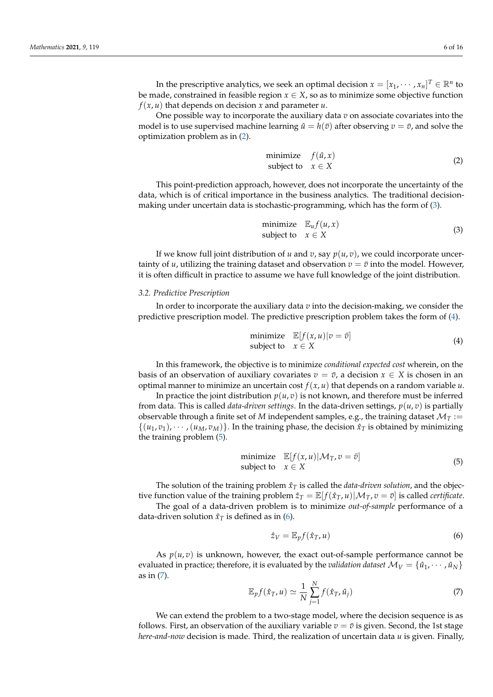In the prescriptive analytics, we seek an optimal decision  $x = [x_1, \dots, x_n]^T \in \mathbb{R}^n$  to be made, constrained in feasible region  $x \in X$ , so as to minimize some objective function  $f(x, u)$  that depends on decision *x* and parameter *u*.

One possible way to incorporate the auxiliary data *v* on associate covariates into the model is to use supervised machine learning  $\hat{u} = h(\bar{v})$  after observing  $v = \bar{v}$ , and solve the optimization problem as in [\(2\)](#page-5-1).

<span id="page-5-1"></span>
$$
\begin{array}{ll}\text{minimize} & f(\hat{u}, x) \\ \text{subject to} & x \in X \end{array} \tag{2}
$$

This point-prediction approach, however, does not incorporate the uncertainty of the data, which is of critical importance in the business analytics. The traditional decisionmaking under uncertain data is stochastic-programming, which has the form of [\(3\)](#page-5-2).

<span id="page-5-2"></span>
$$
\begin{array}{ll}\text{minimize} & \mathbb{E}_u f(u, x) \\ \text{subject to} & x \in X \end{array} \tag{3}
$$

If we know full joint distribution of *u* and *v*, say  $p(u, v)$ , we could incorporate uncertainty of *u*, utilizing the training dataset and observation  $v = \bar{v}$  into the model. However, it is often difficult in practice to assume we have full knowledge of the joint distribution.

#### <span id="page-5-0"></span>*3.2. Predictive Prescription*

In order to incorporate the auxiliary data *v* into the decision-making, we consider the predictive prescription model. The predictive prescription problem takes the form of [\(4\)](#page-5-3).

<span id="page-5-3"></span>
$$
\begin{array}{ll}\text{minimize} & \mathbb{E}[f(x, u) | v = \bar{v}]\\ \text{subject to} & x \in X \end{array} \tag{4}
$$

In this framework, the objective is to minimize *conditional expected cost* wherein, on the basis of an observation of auxiliary covariates  $v = \bar{v}$ , a decision  $x \in X$  is chosen in an optimal manner to minimize an uncertain cost  $f(x, u)$  that depends on a random variable  $u$ .

In practice the joint distribution  $p(u, v)$  is not known, and therefore must be inferred from data. This is called *data-driven settings*. In the data-driven settings, *p*(*u*, *v*) is partially observable through a finite set of *M* independent samples, e.g., the training dataset  $\mathcal{M}_T$  :=  $\{(u_1, v_1), \cdots, (u_M, v_M)\}\$ . In the training phase, the decision  $\hat{x}_T$  is obtained by minimizing the training problem [\(5\)](#page-5-4).

<span id="page-5-4"></span>
$$
\begin{array}{ll}\text{minimize} & \mathbb{E}[f(x, u) | \mathcal{M}_T, v = \bar{v}]\\ \text{subject to} & x \in X \end{array} \tag{5}
$$

The solution of the training problem  $\hat{x}_T$  is called the *data-driven solution*, and the objective function value of the training problem  $\hat{z}_T = \mathbb{E}[f(\hat{x}_T, u) | \mathcal{M}_T, v = \bar{v}]$  is called *certificate*.

The goal of a data-driven problem is to minimize *out-of-sample* performance of a data-driven solution  $\hat{x}_T$  is defined as in [\(6\)](#page-5-5).

<span id="page-5-5"></span>
$$
\hat{z}_V = \mathbb{E}_p f(\hat{x}_T, u) \tag{6}
$$

As  $p(u, v)$  is unknown, however, the exact out-of-sample performance cannot be evaluated in practice; therefore, it is evaluated by the *validation dataset*  $M_V = \{\hat{u}_1, \dots, \hat{u}_N\}$ as in [\(7\)](#page-5-6).

<span id="page-5-6"></span>
$$
\mathbb{E}_p f(\hat{x}_T, u) \simeq \frac{1}{N} \sum_{j=1}^N f(\hat{x}_T, \hat{u}_j)
$$
(7)

We can extend the problem to a two-stage model, where the decision sequence is as follows. First, an observation of the auxiliary variable  $v = \bar{v}$  is given. Second, the 1st stage *here-and-now* decision is made. Third, the realization of uncertain data *u* is given. Finally,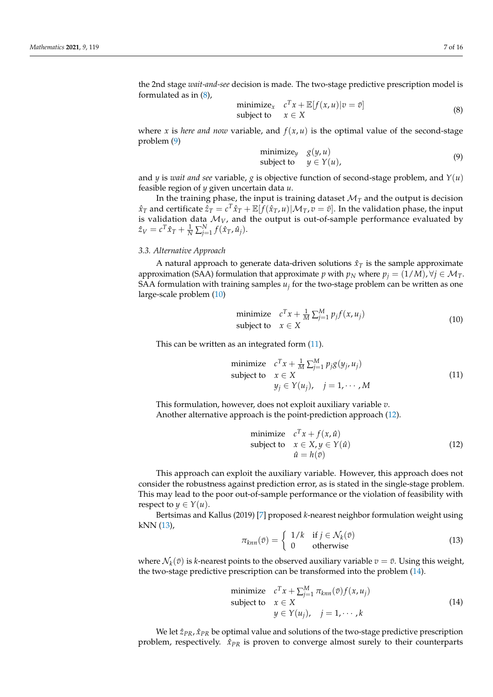the 2nd stage *wait-and-see* decision is made. The two-stage predictive prescription model is formulated as in [\(8\)](#page-6-1),

<span id="page-6-1"></span>
$$
\begin{array}{ll}\text{minimize}_{x} & c^T x + \mathbb{E}[f(x, u) | v = \bar{v}] \\ \text{subject to} & x \in X \end{array} \tag{8}
$$

where *x* is *here and now* variable, and  $f(x, u)$  is the optimal value of the second-stage problem [\(9\)](#page-6-2)

<span id="page-6-2"></span>
$$
\begin{array}{ll}\text{minimize}_{y} & g(y, u) \\ \text{subject to} & y \in Y(u), \end{array} \tag{9}
$$

and *y* is *wait and see* variable, *g* is objective function of second-stage problem, and  $Y(u)$ feasible region of *y* given uncertain data *u*.

In the training phase, the input is training dataset  $\mathcal{M}_T$  and the output is decision  $\hat{x}_T$  and certificate  $\hat{z}_T = c^T\hat{x}_T + \mathbb{E}[\hat{f}(\hat{x}_T, u) | \mathcal{M}_T, v = \bar{v}].$  In the validation phase, the input is validation data  $M_V$ , and the output is out-of-sample performance evaluated by  $\hat{z}_V = c^T \hat{x}_T + \frac{1}{N} \sum_{j=1}^N f(\hat{x}_T, \hat{u}_j).$ 

# <span id="page-6-0"></span>*3.3. Alternative Approach*

A natural approach to generate data-driven solutions  $\hat{x}_T$  is the sample approximate approximation (SAA) formulation that approximate *p* with  $p_N$  where  $p_j = (1/M)$ ,  $\forall j \in \mathcal{M}_T$ . SAA formulation with training samples  $u_j$  for the two-stage problem can be written as one large-scale problem [\(10\)](#page-6-3)

<span id="page-6-3"></span>
$$
\begin{array}{ll}\text{minimize} & c^T x + \frac{1}{M} \sum_{j=1}^M p_j f(x, u_j) \\ \text{subject to} & x \in X \end{array} \tag{10}
$$

This can be written as an integrated form  $(11)$ .

<span id="page-6-4"></span>minimize 
$$
c^T x + \frac{1}{M} \sum_{j=1}^{M} p_j g(y_j, u_j)
$$
  
subject to  $x \in X$   
 $y_j \in Y(u_j), j = 1, \cdots, M$  (11)

This formulation, however, does not exploit auxiliary variable *v*. Another alternative approach is the point-prediction approach [\(12\)](#page-6-5).

<span id="page-6-5"></span>minimize 
$$
c^T x + f(x, \hat{u})
$$
  
subject to  $x \in X, y \in Y(\hat{u})$   
 $\hat{u} = h(\bar{v})$  (12)

This approach can exploit the auxiliary variable. However, this approach does not consider the robustness against prediction error, as is stated in the single-stage problem. This may lead to the poor out-of-sample performance or the violation of feasibility with respect to  $y \in Y(u)$ .

Bertsimas and Kallus (2019) [\[7\]](#page-14-6) proposed *k*-nearest neighbor formulation weight using kNN [\(13\)](#page-6-6),

<span id="page-6-6"></span>
$$
\pi_{knn}(\bar{v}) = \begin{cases} 1/k & \text{if } j \in \mathcal{N}_k(\bar{v}) \\ 0 & \text{otherwise} \end{cases}
$$
\n(13)

where  $\mathcal{N}_k(\bar{v})$  is *k*-nearest points to the observed auxiliary variable  $v = \bar{v}$ . Using this weight, the two-stage predictive prescription can be transformed into the problem [\(14\)](#page-6-7).

<span id="page-6-7"></span>minimize 
$$
c^T x + \sum_{j=1}^M \pi_{knn}(\bar{v}) f(x, u_j)
$$
  
subject to  $x \in X$   
 $y \in Y(u_j), j = 1, \dots, k$  (14)

We let  $\hat{z}_{PR}$ ,  $\hat{x}_{PR}$  be optimal value and solutions of the two-stage predictive prescription problem, respectively.  $\hat{x}_{PR}$  is proven to converge almost surely to their counterparts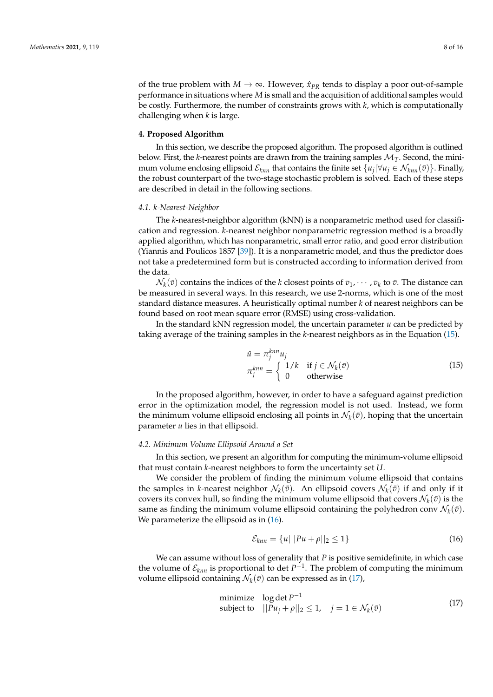of the true problem with  $M \to \infty$ . However,  $\hat{x}_{PR}$  tends to display a poor out-of-sample performance in situations where *M* is small and the acquisition of additional samples would be costly. Furthermore, the number of constraints grows with *k*, which is computationally challenging when *k* is large.

#### <span id="page-7-0"></span>**4. Proposed Algorithm**

In this section, we describe the proposed algorithm. The proposed algorithm is outlined below. First, the  $k$ -nearest points are drawn from the training samples  $M_T$ . Second, the minimum volume enclosing ellipsoid  $\mathcal{E}_{knn}$  that contains the finite set  $\{u_j|\forall u_j\in\mathcal{N}_{knn}(\bar{v})\}$ . Finally, the robust counterpart of the two-stage stochastic problem is solved. Each of these steps are described in detail in the following sections.

#### *4.1. k-Nearest-Neighbor*

The *k*-nearest-neighbor algorithm (kNN) is a nonparametric method used for classification and regression. *k*-nearest neighbor nonparametric regression method is a broadly applied algorithm, which has nonparametric, small error ratio, and good error distribution (Yiannis and Poulicos 1857 [\[39\]](#page-15-7)). It is a nonparametric model, and thus the predictor does not take a predetermined form but is constructed according to information derived from the data.

 $\mathcal{N}_k(\bar{v})$  contains the indices of the *k* closest points of  $v_1, \cdots, v_k$  to  $\bar{v}$ . The distance can be measured in several ways. In this research, we use 2-norms, which is one of the most standard distance measures. A heuristically optimal number *k* of nearest neighbors can be found based on root mean square error (RMSE) using cross-validation.

In the standard kNN regression model, the uncertain parameter *u* can be predicted by taking average of the training samples in the *k*-nearest neighbors as in the Equation [\(15\)](#page-7-1).

<span id="page-7-1"></span>
$$
\hat{u} = \pi_j^{knn} u_j
$$
\n
$$
\pi_j^{knn} = \begin{cases}\n1/k & \text{if } j \in \mathcal{N}_k(\bar{v}) \\
0 & \text{otherwise}\n\end{cases}
$$
\n(15)

In the proposed algorithm, however, in order to have a safeguard against prediction error in the optimization model, the regression model is not used. Instead, we form the minimum volume ellipsoid enclosing all points in  $\mathcal{N}_k(\bar{v})$ , hoping that the uncertain parameter *u* lies in that ellipsoid.

#### *4.2. Minimum Volume Ellipsoid Around a Set*

In this section, we present an algorithm for computing the minimum-volume ellipsoid that must contain *k*-nearest neighbors to form the uncertainty set *U*.

We consider the problem of finding the minimum volume ellipsoid that contains the samples in *k*-nearest neighbor  $\mathcal{N}_k(\bar{v})$ . An ellipsoid covers  $\mathcal{N}_k(\bar{v})$  if and only if it covers its convex hull, so finding the minimum volume ellipsoid that covers  $\mathcal{N}_k(\bar{v})$  is the same as finding the minimum volume ellipsoid containing the polyhedron conv  $\mathcal{N}_k(\bar{v})$ . We parameterize the ellipsoid as in  $(16)$ .

<span id="page-7-2"></span>
$$
\mathcal{E}_{knn} = \{u|||Pu + \rho||_2 \le 1\}
$$
\n(16)

We can assume without loss of generality that *P* is positive semidefinite, in which case the volume of  $\mathcal{E}_{knn}$  is proportional to det  $P^{-1}$ . The problem of computing the minimum volume ellipsoid containing  $\mathcal{N}_k(\bar{v})$  can be expressed as in [\(17\)](#page-7-3),

<span id="page-7-3"></span>minimize 
$$
\log \det P^{-1}
$$
  
subject to  $||Pu_j + \rho||_2 \le 1$ ,  $j = 1 \in \mathcal{N}_k(\bar{v})$  (17)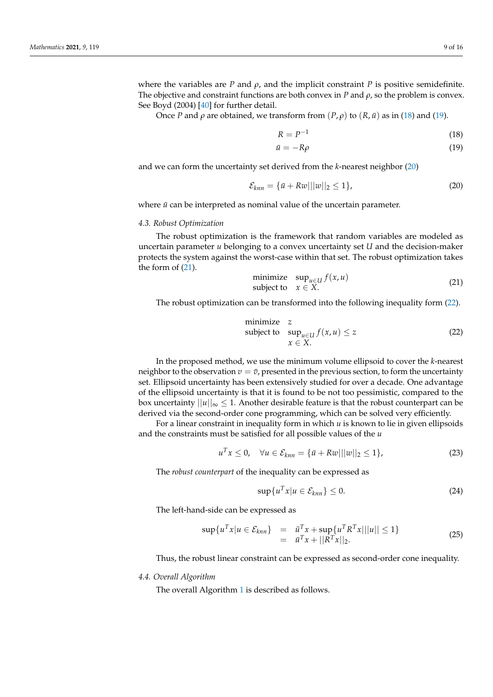where the variables are *P* and  $\rho$ , and the implicit constraint *P* is positive semidefinite. The objective and constraint functions are both convex in *P* and  $\rho$ , so the problem is convex. See Boyd (2004) [\[40\]](#page-15-8) for further detail.

Once *P* and *ρ* are obtained, we transform from  $(P, ρ)$  to  $(R, u$  as in [\(18\)](#page-8-0) and [\(19\)](#page-8-0).

<span id="page-8-0"></span>
$$
R = P^{-1} \tag{18}
$$

$$
\bar{u} = -R\rho \tag{19}
$$

and we can form the uncertainty set derived from the *k*-nearest neighbor [\(20\)](#page-8-1)

<span id="page-8-1"></span>
$$
\mathcal{E}_{knn} = \{\bar{u} + R\bar{w}|||w||_2 \le 1\},\tag{20}
$$

where  $\bar{u}$  can be interpreted as nominal value of the uncertain parameter.

#### *4.3. Robust Optimization*

The robust optimization is the framework that random variables are modeled as uncertain parameter *u* belonging to a convex uncertainty set *U* and the decision-maker protects the system against the worst-case within that set. The robust optimization takes the form of [\(21\)](#page-8-2).

<span id="page-8-2"></span>
$$
\begin{array}{ll}\text{minimize} & \sup_{u \in U} f(x, u) \\ \text{subject to} & x \in X. \end{array} \tag{21}
$$

The robust optimization can be transformed into the following inequality form [\(22\)](#page-8-3).

<span id="page-8-3"></span>minimize z  
subject to 
$$
\sup_{u \in U} f(x, u) \le z
$$
  
 $x \in X$ . (22)

In the proposed method, we use the minimum volume ellipsoid to cover the *k*-nearest neighbor to the observation  $v = \bar{v}$ , presented in the previous section, to form the uncertainty set. Ellipsoid uncertainty has been extensively studied for over a decade. One advantage of the ellipsoid uncertainty is that it is found to be not too pessimistic, compared to the box uncertainty  $||u||_{\infty} \leq 1$ . Another desirable feature is that the robust counterpart can be derived via the second-order cone programming, which can be solved very efficiently.

For a linear constraint in inequality form in which *u* is known to lie in given ellipsoids and the constraints must be satisfied for all possible values of the *u*

$$
u^{T}x \leq 0, \quad \forall u \in \mathcal{E}_{knn} = \{\bar{u} + R\bar{w}|||w||_{2} \leq 1\},
$$
\n(23)

The *robust counterpart* of the inequality can be expressed as

$$
\sup \{ u^T x | u \in \mathcal{E}_{knn} \} \le 0. \tag{24}
$$

The left-hand-side can be expressed as

$$
\sup \{ u^T x | u \in \mathcal{E}_{knn} \} = \bar{u}^T x + \sup \{ u^T R^T x |||u|| \le 1 \}
$$
  
=  $\bar{u}^T x + ||R^T x||_2.$  (25)

Thus, the robust linear constraint can be expressed as second-order cone inequality.

#### *4.4. Overall Algorithm*

The overall Algorithm [1](#page-9-1) is described as follows.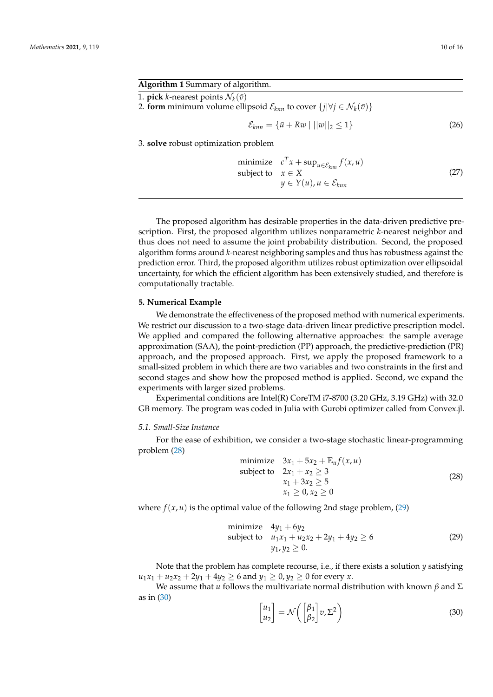# <span id="page-9-1"></span>**Algorithm 1** Summary of algorithm.

1. **pick** *k*-nearest points  $\mathcal{N}_k(\bar{v})$ 

2. **form** minimum volume ellipsoid  $\mathcal{E}_{knn}$  to cover  $\{j|\forall j \in \mathcal{N}_k(\bar{v})\}$ 

$$
\mathcal{E}_{knn} = \{ \bar{u} + R\bar{w} \mid ||\bar{w}||_2 \le 1 \}
$$
\n(26)

3. **solve** robust optimization problem

minimize 
$$
c^T x + \sup_{u \in \mathcal{E}_{kmn}} f(x, u)
$$
  
subject to  $x \in X$   
 $y \in Y(u), u \in \mathcal{E}_{kmn}$  (27)

The proposed algorithm has desirable properties in the data-driven predictive prescription. First, the proposed algorithm utilizes nonparametric *k*-nearest neighbor and thus does not need to assume the joint probability distribution. Second, the proposed algorithm forms around *k*-nearest neighboring samples and thus has robustness against the prediction error. Third, the proposed algorithm utilizes robust optimization over ellipsoidal uncertainty, for which the efficient algorithm has been extensively studied, and therefore is computationally tractable.

# <span id="page-9-0"></span>**5. Numerical Example**

We demonstrate the effectiveness of the proposed method with numerical experiments. We restrict our discussion to a two-stage data-driven linear predictive prescription model. We applied and compared the following alternative approaches: the sample average approximation (SAA), the point-prediction (PP) approach, the predictive-prediction (PR) approach, and the proposed approach. First, we apply the proposed framework to a small-sized problem in which there are two variables and two constraints in the first and second stages and show how the proposed method is applied. Second, we expand the experiments with larger sized problems.

Experimental conditions are Intel(R) CoreTM i7-8700 (3.20 GHz, 3.19 GHz) with 32.0 GB memory. The program was coded in Julia with Gurobi optimizer called from Convex.jl.

#### *5.1. Small-Size Instance*

For the ease of exhibition, we consider a two-stage stochastic linear-programming problem [\(28\)](#page-9-2)

<span id="page-9-2"></span>
$$
\begin{array}{ll}\text{minimize} & 3x_1 + 5x_2 + \mathbb{E}_u f(x, u) \\ \text{subject to} & 2x_1 + x_2 \ge 3 \\ & x_1 + 3x_2 \ge 5 \\ & x_1 \ge 0, x_2 \ge 0 \end{array} \tag{28}
$$

where  $f(x, u)$  is the optimal value of the following 2nd stage problem,  $(29)$ 

<span id="page-9-3"></span>minimize 
$$
4y_1 + 6y_2
$$
  
subject to  $u_1x_1 + u_2x_2 + 2y_1 + 4y_2 \ge 6$  (29)  
 $y_1, y_2 \ge 0.$ 

Note that the problem has complete recourse, i.e., if there exists a solution *y* satisfying  $u_1x_1 + u_2x_2 + 2y_1 + 4y_2 \ge 6$  and  $y_1 \ge 0, y_2 \ge 0$  for every *x*.

We assume that *u* follows the multivariate normal distribution with known *β* and  $\Sigma$ as in [\(30\)](#page-9-4)

<span id="page-9-4"></span>
$$
\begin{bmatrix} u_1 \\ u_2 \end{bmatrix} = \mathcal{N} \left( \begin{bmatrix} \beta_1 \\ \beta_2 \end{bmatrix} v, \Sigma^2 \right) \tag{30}
$$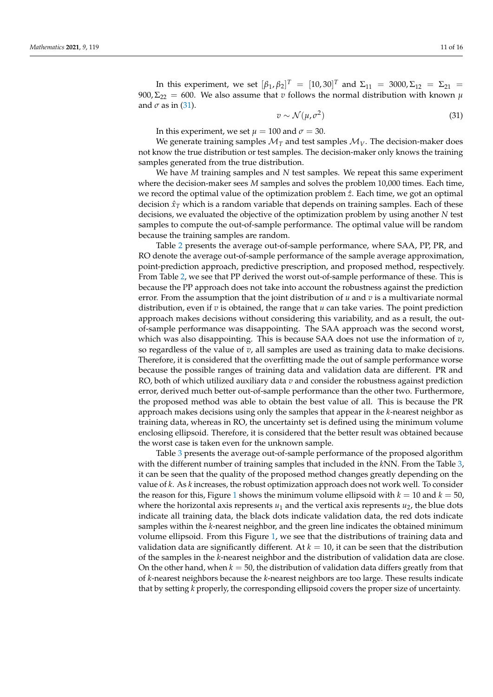In this experiment, we set  $[\beta_1, \beta_2]^T = [10, 30]^T$  and  $\Sigma_{11} = 3000, \Sigma_{12} = \Sigma_{21} =$ 900,  $\Sigma_{22} = 600$ . We also assume that *v* follows the normal distribution with known  $\mu$ and  $\sigma$  as in [\(31\)](#page-10-0).

<span id="page-10-0"></span>
$$
v \sim \mathcal{N}(\mu, \sigma^2) \tag{31}
$$

In this experiment, we set  $\mu = 100$  and  $\sigma = 30$ .

We generate training samples  $M_T$  and test samples  $M_V$ . The decision-maker does not know the true distribution or test samples. The decision-maker only knows the training samples generated from the true distribution.

We have *M* training samples and *N* test samples. We repeat this same experiment where the decision-maker sees *M* samples and solves the problem 10,000 times. Each time, we record the optimal value of the optimization problem  $\hat{z}$ . Each time, we got an optimal decision  $\hat{x}_T$  which is a random variable that depends on training samples. Each of these decisions, we evaluated the objective of the optimization problem by using another *N* test samples to compute the out-of-sample performance. The optimal value will be random because the training samples are random.

Table [2](#page-11-0) presents the average out-of-sample performance, where SAA, PP, PR, and RO denote the average out-of-sample performance of the sample average approximation, point-prediction approach, predictive prescription, and proposed method, respectively. From Table [2,](#page-11-0) we see that PP derived the worst out-of-sample performance of these. This is because the PP approach does not take into account the robustness against the prediction error. From the assumption that the joint distribution of *u* and *v* is a multivariate normal distribution, even if *v* is obtained, the range that *u* can take varies. The point prediction approach makes decisions without considering this variability, and as a result, the outof-sample performance was disappointing. The SAA approach was the second worst, which was also disappointing. This is because SAA does not use the information of *v*, so regardless of the value of *v*, all samples are used as training data to make decisions. Therefore, it is considered that the overfitting made the out of sample performance worse because the possible ranges of training data and validation data are different. PR and RO, both of which utilized auxiliary data *v* and consider the robustness against prediction error, derived much better out-of-sample performance than the other two. Furthermore, the proposed method was able to obtain the best value of all. This is because the PR approach makes decisions using only the samples that appear in the *k*-nearest neighbor as training data, whereas in RO, the uncertainty set is defined using the minimum volume enclosing ellipsoid. Therefore, it is considered that the better result was obtained because the worst case is taken even for the unknown sample.

Table [3](#page-11-1) presents the average out-of-sample performance of the proposed algorithm with the different number of training samples that included in the *k*NN. From the Table [3,](#page-11-1) it can be seen that the quality of the proposed method changes greatly depending on the value of *k*. As *k* increases, the robust optimization approach does not work well. To consider the reason for this, Figure [1](#page-11-2) shows the minimum volume ellipsoid with  $k = 10$  and  $k = 50$ , where the horizontal axis represents  $u_1$  and the vertical axis represents  $u_2$ , the blue dots indicate all training data, the black dots indicate validation data, the red dots indicate samples within the *k*-nearest neighbor, and the green line indicates the obtained minimum volume ellipsoid. From this Figure [1,](#page-11-2) we see that the distributions of training data and validation data are significantly different. At  $k = 10$ , it can be seen that the distribution of the samples in the *k*-nearest neighbor and the distribution of validation data are close. On the other hand, when  $k = 50$ , the distribution of validation data differs greatly from that of *k*-nearest neighbors because the *k*-nearest neighbors are too large. These results indicate that by setting *k* properly, the corresponding ellipsoid covers the proper size of uncertainty.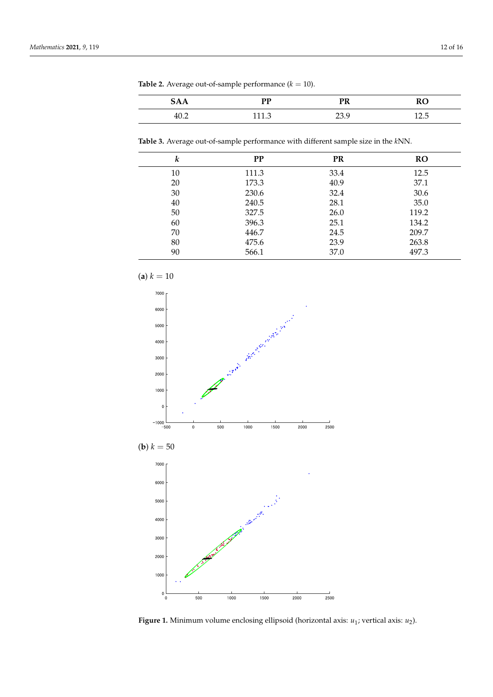<span id="page-11-0"></span>**Table 2.** Average out-of-sample performance  $(k = 10)$ .

| ЗAА<br>ັ້ | DD           | PR                | $\mathbf{v}$<br>ĸc |
|-----------|--------------|-------------------|--------------------|
| 40.2      | 1117<br>⊥⊥⊥⊷ | າາ<br>C.<br>ر و ڪ | . .<br>14.U        |

<span id="page-11-1"></span>**Table 3.** Average out-of-sample performance with different sample size in the *k*NN.

| k  | <b>PP</b> | <b>PR</b> | <b>RO</b> |
|----|-----------|-----------|-----------|
| 10 | 111.3     | 33.4      | 12.5      |
| 20 | 173.3     | 40.9      | 37.1      |
| 30 | 230.6     | 32.4      | 30.6      |
| 40 | 240.5     | 28.1      | 35.0      |
| 50 | 327.5     | 26.0      | 119.2     |
| 60 | 396.3     | 25.1      | 134.2     |
| 70 | 446.7     | 24.5      | 209.7     |
| 80 | 475.6     | 23.9      | 263.8     |
| 90 | 566.1     | 37.0      | 497.3     |

<span id="page-11-2"></span>

**Figure 1.** Minimum volume enclosing ellipsoid (horizontal axis: *u*<sup>1</sup> ; vertical axis: *u*2).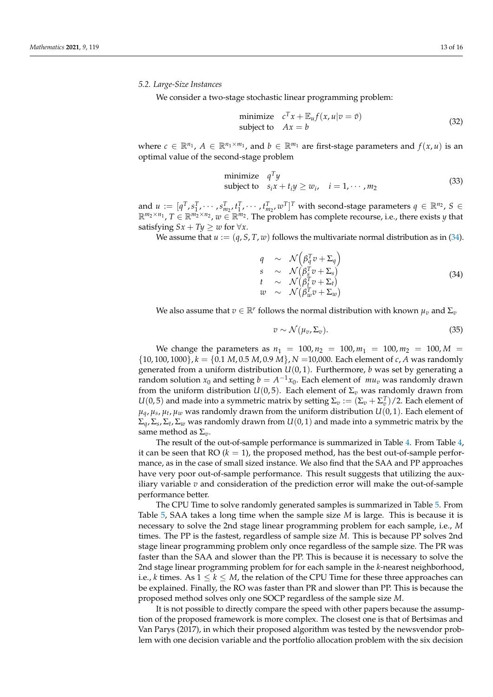# *5.2. Large-Size Instances*

We consider a two-stage stochastic linear programming problem:

minimize 
$$
c^T x + \mathbb{E}_u f(x, u | v = \bar{v})
$$
  
subject to  $Ax = b$  (32)

where  $c \in \mathbb{R}^{n_1}$ ,  $A \in \mathbb{R}^{n_1 \times m_1}$ , and  $b \in \mathbb{R}^{m_1}$  are first-stage parameters and  $f(x, u)$  is an optimal value of the second-stage problem

minimize 
$$
q^T y
$$
  
subject to  $s_i x + t_i y \ge w_i$ ,  $i = 1, \dots, m_2$  (33)

and  $u := [q^T, s_1^T, \cdots, s_{m_2}^T, t_1^T, \cdots, t_{m_2}^T, w^T]^T$  with second-stage parameters  $q \in \mathbb{R}^{n_2}$ ,  $S \in$  $\mathbb{R}^{m_2 \times n_1}$ ,  $T \in \mathbb{R}^{m_2 \times n_2}$ ,  $w \in \mathbb{R}^{m_2}$ . The problem has complete recourse, i.e., there exists *y* that satisfying  $Sx + Ty \geq w$  for  $\forall x$ .

We assume that  $u := (q, S, T, w)$  follows the multivariate normal distribution as in [\(34\)](#page-12-0).

<span id="page-12-0"></span>
$$
q \sim \mathcal{N}\left(\beta_q^T v + \Sigma_q\right) \ns \sim \mathcal{N}\left(\beta_s^T v + \Sigma_s\right) \nt \sim \mathcal{N}\left(\beta_t^T v + \Sigma_t\right) \nw \sim \mathcal{N}\left(\beta_w^T v + \Sigma_w\right)
$$
\n(34)

We also assume that  $v \in \mathbb{R}^r$  follows the normal distribution with known  $\mu_v$  and  $\Sigma_v$ 

$$
v \sim \mathcal{N}(\mu_v, \Sigma_v). \tag{35}
$$

We change the parameters as  $n_1 = 100$ ,  $n_2 = 100$ ,  $m_1 = 100$ ,  $m_2 = 100$ ,  $M =$  $\{10, 100, 1000\}$ ,  $k = \{0.1, M, 0.5, M, 0.9, M\}$ ,  $N = 10,000$ . Each element of *c*, *A* was randomly generated from a uniform distribution  $U(0, 1)$ . Furthermore, *b* was set by generating a random solution  $x_0$  and setting  $b = A^{-1}x_0$ . Each element of  $mu_v$  was randomly drawn from the uniform distribution  $U(0,5)$ . Each element of  $\Sigma_v$  was randomly drawn from  $U(0,5)$  and made into a symmetric matrix by setting  $\Sigma_v := (\Sigma_v + \Sigma_v^T)/2$ . Each element of  $\mu_q$ ,  $\mu_s$ ,  $\mu_t$ ,  $\mu_w$  was randomly drawn from the uniform distribution  $U(0, 1)$ . Each element of  $\Sigma_q$ ,  $\Sigma_s$ ,  $\Sigma_t$ ,  $\Sigma_w$  was randomly drawn from  $U(0, 1)$  and made into a symmetric matrix by the same method as  $\Sigma_v$ .

The result of the out-of-sample performance is summarized in Table [4.](#page-13-1) From Table [4,](#page-13-1) it can be seen that  $RO (k = 1)$ , the proposed method, has the best out-of-sample performance, as in the case of small sized instance. We also find that the SAA and PP approaches have very poor out-of-sample performance. This result suggests that utilizing the auxiliary variable *v* and consideration of the prediction error will make the out-of-sample performance better.

The CPU Time to solve randomly generated samples is summarized in Table [5.](#page-13-2) From Table [5,](#page-13-2) SAA takes a long time when the sample size *M* is large. This is because it is necessary to solve the 2nd stage linear programming problem for each sample, i.e., *M* times. The PP is the fastest, regardless of sample size *M*. This is because PP solves 2nd stage linear programming problem only once regardless of the sample size. The PR was faster than the SAA and slower than the PP. This is because it is necessary to solve the 2nd stage linear programming problem for for each sample in the *k*-nearest neighborhood, i.e., *k* times. As  $1 \leq k \leq M$ , the relation of the CPU Time for these three approaches can be explained. Finally, the RO was faster than PR and slower than PP. This is because the proposed method solves only one SOCP regardless of the sample size *M*.

It is not possible to directly compare the speed with other papers because the assumption of the proposed framework is more complex. The closest one is that of Bertsimas and Van Parys (2017), in which their proposed algorithm was tested by the newsvendor problem with one decision variable and the portfolio allocation problem with the six decision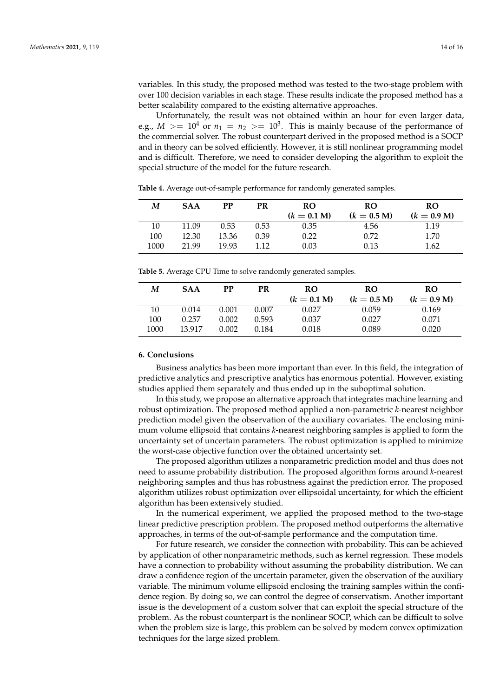variables. In this study, the proposed method was tested to the two-stage problem with over 100 decision variables in each stage. These results indicate the proposed method has a better scalability compared to the existing alternative approaches.

Unfortunately, the result was not obtained within an hour for even larger data, e.g.,  $M > = 10^4$  or  $n_1 = n_2 > = 10^3$ . This is mainly because of the performance of the commercial solver. The robust counterpart derived in the proposed method is a SOCP and in theory can be solved efficiently. However, it is still nonlinear programming model and is difficult. Therefore, we need to consider developing the algorithm to exploit the special structure of the model for the future research.

| M    | <b>SAA</b> | РP    | PR    | <b>RO</b><br>$(k = 0.1 M)$ | <b>RO</b><br>$(k = 0.5 M)$ | RO<br>$(k = 0.9 M)$ |
|------|------------|-------|-------|----------------------------|----------------------------|---------------------|
| 10   | 11.09      | 0.53  | 0.53  | 0.35                       | 4.56                       | 1.19                |
| 100  | 12.30      | 13.36 | 0.39  | 0.22                       | 0.72                       | 1.70                |
| 1000 | 21.99      | 19.93 | 1 1 2 | 0.03                       | 0.13                       | 1.62                |

<span id="page-13-1"></span>**Table 4.** Average out-of-sample performance for randomly generated samples.

<span id="page-13-2"></span>**Table 5.** Average CPU Time to solve randomly generated samples.

| М    | <b>SAA</b> | РP    | PR    | <b>RO</b><br>$(k = 0.1 M)$ | RO<br>$(k = 0.5 M)$ | <b>RO</b><br>$(k = 0.9 M)$ |
|------|------------|-------|-------|----------------------------|---------------------|----------------------------|
| 10   | 0.014      | 0.001 | 0.007 | 0.027                      | 0.059               | 0.169                      |
| 100  | 0.257      | 0.002 | 0.593 | 0.037                      | 0.027               | 0.071                      |
| 1000 | 13.917     | 0.002 | 0.184 | 0.018                      | 0.089               | 0.020                      |

#### <span id="page-13-0"></span>**6. Conclusions**

Business analytics has been more important than ever. In this field, the integration of predictive analytics and prescriptive analytics has enormous potential. However, existing studies applied them separately and thus ended up in the suboptimal solution.

In this study, we propose an alternative approach that integrates machine learning and robust optimization. The proposed method applied a non-parametric *k*-nearest neighbor prediction model given the observation of the auxiliary covariates. The enclosing minimum volume ellipsoid that contains *k*-nearest neighboring samples is applied to form the uncertainty set of uncertain parameters. The robust optimization is applied to minimize the worst-case objective function over the obtained uncertainty set.

The proposed algorithm utilizes a nonparametric prediction model and thus does not need to assume probability distribution. The proposed algorithm forms around *k*-nearest neighboring samples and thus has robustness against the prediction error. The proposed algorithm utilizes robust optimization over ellipsoidal uncertainty, for which the efficient algorithm has been extensively studied.

In the numerical experiment, we applied the proposed method to the two-stage linear predictive prescription problem. The proposed method outperforms the alternative approaches, in terms of the out-of-sample performance and the computation time.

For future research, we consider the connection with probability. This can be achieved by application of other nonparametric methods, such as kernel regression. These models have a connection to probability without assuming the probability distribution. We can draw a confidence region of the uncertain parameter, given the observation of the auxiliary variable. The minimum volume ellipsoid enclosing the training samples within the confidence region. By doing so, we can control the degree of conservatism. Another important issue is the development of a custom solver that can exploit the special structure of the problem. As the robust counterpart is the nonlinear SOCP, which can be difficult to solve when the problem size is large, this problem can be solved by modern convex optimization techniques for the large sized problem.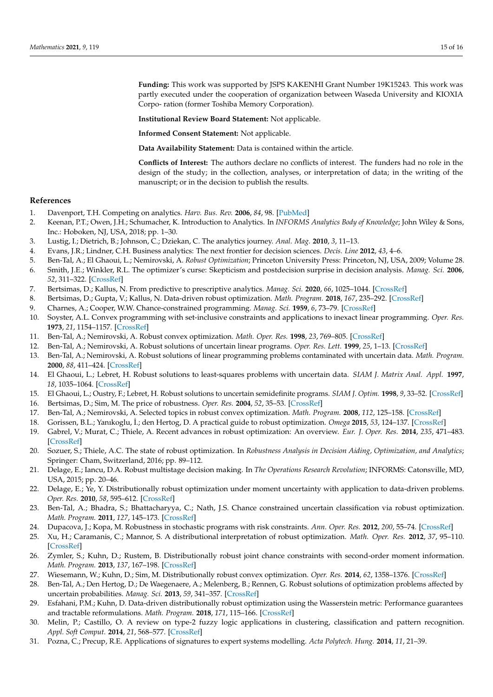**Funding:** This work was supported by JSPS KAKENHI Grant Number 19K15243. This work was partly executed under the cooperation of organization between Waseda University and KIOXIA Corpo- ration (former Toshiba Memory Corporation).

**Institutional Review Board Statement:** Not applicable.

**Informed Consent Statement:** Not applicable.

**Data Availability Statement:** Data is contained within the article.

**Conflicts of Interest:** The authors declare no conflicts of interest. The funders had no role in the design of the study; in the collection, analyses, or interpretation of data; in the writing of the manuscript; or in the decision to publish the results.

# **References**

- <span id="page-14-0"></span>1. Davenport, T.H. Competing on analytics. *Harv. Bus. Rev.* **2006**, *84*, 98. [\[PubMed\]](http://www.ncbi.nlm.nih.gov/pubmed/16447373)
- <span id="page-14-1"></span>2. Keenan, P.T.; Owen, J.H.; Schumacher, K. Introduction to Analytics. In *INFORMS Analytics Body of Knowledge*; John Wiley & Sons, Inc.: Hoboken, NJ, USA, 2018; pp. 1–30.
- <span id="page-14-2"></span>3. Lustig, I.; Dietrich, B.; Johnson, C.; Dziekan, C. The analytics journey. *Anal. Mag.* **2010**, *3*, 11–13.
- <span id="page-14-3"></span>4. Evans, J.R.; Lindner, C.H. Business analytics: The next frontier for decision sciences. *Decis. Line* **2012**, *43*, 4–6.
- <span id="page-14-4"></span>5. Ben-Tal, A.; El Ghaoui, L.; Nemirovski, A. *Robust Optimization*; Princeton University Press: Princeton, NJ, USA, 2009; Volume 28.
- <span id="page-14-5"></span>6. Smith, J.E.; Winkler, R.L. The optimizer's curse: Skepticism and postdecision surprise in decision analysis. *Manag. Sci.* **2006**, *52*, 311–322. [\[CrossRef\]](http://doi.org/10.1287/mnsc.1050.0451)
- <span id="page-14-6"></span>7. Bertsimas, D.; Kallus, N. From predictive to prescriptive analytics. *Manag. Sci.* **2020**, *66*, 1025–1044. [\[CrossRef\]](http://dx.doi.org/10.1287/mnsc.2018.3253)
- <span id="page-14-7"></span>8. Bertsimas, D.; Gupta, V.; Kallus, N. Data-driven robust optimization. *Math. Program.* **2018**, *167*, 235–292. [\[CrossRef\]](http://dx.doi.org/10.1007/s10107-017-1125-8)
- <span id="page-14-8"></span>9. Charnes, A.; Cooper, W.W. Chance-constrained programming. *Manag. Sci.* **1959**, *6*, 73–79. [\[CrossRef\]](http://dx.doi.org/10.1287/mnsc.6.1.73)
- <span id="page-14-9"></span>10. Soyster, A.L. Convex programming with set-inclusive constraints and applications to inexact linear programming. *Oper. Res.* **1973**, *21*, 1154–1157. [\[CrossRef\]](http://dx.doi.org/10.1287/opre.21.5.1154)
- <span id="page-14-10"></span>11. Ben-Tal, A.; Nemirovski, A. Robust convex optimization. *Math. Oper. Res.* **1998**, *23*, 769–805. [\[CrossRef\]](http://dx.doi.org/10.1287/moor.23.4.769)
- 12. Ben-Tal, A.; Nemirovski, A. Robust solutions of uncertain linear programs. *Oper. Res. Lett.* **1999**, *25*, 1–13. [\[CrossRef\]](http://dx.doi.org/10.1016/S0167-6377(99)00016-4)
- <span id="page-14-11"></span>13. Ben-Tal, A.; Nemirovski, A. Robust solutions of linear programming problems contaminated with uncertain data. *Math. Program.* **2000**, *88*, 411–424. [\[CrossRef\]](http://dx.doi.org/10.1007/PL00011380)
- <span id="page-14-12"></span>14. El Ghaoui, L.; Lebret, H. Robust solutions to least-squares problems with uncertain data. *SIAM J. Matrix Anal. Appl.* **1997**, *18*, 1035–1064. [\[CrossRef\]](http://dx.doi.org/10.1137/S0895479896298130)
- <span id="page-14-13"></span>15. El Ghaoui, L.; Oustry, F.; Lebret, H. Robust solutions to uncertain semidefinite programs. *SIAM J. Optim.* **1998**, *9*, 33–52. [\[CrossRef\]](http://dx.doi.org/10.1137/S1052623496305717)
- <span id="page-14-14"></span>16. Bertsimas, D.; Sim, M. The price of robustness. *Oper. Res.* **2004**, *52*, 35–53. [\[CrossRef\]](http://dx.doi.org/10.1287/opre.1030.0065)
- <span id="page-14-15"></span>17. Ben-Tal, A.; Nemirovski, A. Selected topics in robust convex optimization. *Math. Program.* **2008**, *112*, 125–158. [\[CrossRef\]](http://dx.doi.org/10.1007/s10107-006-0092-2)
- <span id="page-14-16"></span>18. Gorissen, B.L.; Yanıkoglu, ˙I.; den Hertog, D. A practical guide to robust optimization. *Omega* **2015**, *53*, 124–137. [\[CrossRef\]](http://dx.doi.org/10.1016/j.omega.2014.12.006)
- <span id="page-14-17"></span>19. Gabrel, V.; Murat, C.; Thiele, A. Recent advances in robust optimization: An overview. *Eur. J. Oper. Res.* **2014**, *235*, 471–483. [\[CrossRef\]](http://dx.doi.org/10.1016/j.ejor.2013.09.036)
- <span id="page-14-18"></span>20. Sozuer, S.; Thiele, A.C. The state of robust optimization. In *Robustness Analysis in Decision Aiding, Optimization, and Analytics*; Springer: Cham, Switzerland, 2016; pp. 89–112.
- <span id="page-14-19"></span>21. Delage, E.; Iancu, D.A. Robust multistage decision making. In *The Operations Research Revolution*; INFORMS: Catonsville, MD, USA, 2015; pp. 20–46.
- <span id="page-14-20"></span>22. Delage, E.; Ye, Y. Distributionally robust optimization under moment uncertainty with application to data-driven problems. *Oper. Res.* **2010**, *58*, 595–612. [\[CrossRef\]](http://dx.doi.org/10.1287/opre.1090.0741)
- <span id="page-14-21"></span>23. Ben-Tal, A.; Bhadra, S.; Bhattacharyya, C.; Nath, J.S. Chance constrained uncertain classification via robust optimization. *Math. Program.* **2011**, *127*, 145–173. [\[CrossRef\]](http://dx.doi.org/10.1007/s10107-010-0415-1)
- <span id="page-14-22"></span>24. Dupacova, J.; Kopa, M. Robustness in stochastic programs with risk constraints. *Ann. Oper. Res.* **2012**, *200*, 55–74. [\[CrossRef\]](http://dx.doi.org/10.1007/s10479-010-0824-9)
- <span id="page-14-23"></span>25. Xu, H.; Caramanis, C.; Mannor, S. A distributional interpretation of robust optimization. *Math. Oper. Res.* **2012**, *37*, 95–110. [\[CrossRef\]](http://dx.doi.org/10.1287/moor.1110.0531)
- <span id="page-14-24"></span>26. Zymler, S.; Kuhn, D.; Rustem, B. Distributionally robust joint chance constraints with second-order moment information. *Math. Program.* **2013**, *137*, 167–198. [\[CrossRef\]](http://dx.doi.org/10.1007/s10107-011-0494-7)
- <span id="page-14-25"></span>27. Wiesemann, W.; Kuhn, D.; Sim, M. Distributionally robust convex optimization. *Oper. Res.* **2014**, *62*, 1358–1376. [\[CrossRef\]](http://dx.doi.org/10.1287/opre.2014.1314)
- <span id="page-14-26"></span>28. Ben-Tal, A.; Den Hertog, D.; De Waegenaere, A.; Melenberg, B.; Rennen, G. Robust solutions of optimization problems affected by uncertain probabilities. *Manag. Sci.* **2013**, *59*, 341–357. [\[CrossRef\]](http://dx.doi.org/10.1287/mnsc.1120.1641)
- <span id="page-14-27"></span>29. Esfahani, P.M.; Kuhn, D. Data-driven distributionally robust optimization using the Wasserstein metric: Performance guarantees and tractable reformulations. *Math. Program.* **2018**, *171*, 115–166. [\[CrossRef\]](http://dx.doi.org/10.1007/s10107-017-1172-1)
- <span id="page-14-28"></span>30. Melin, P.; Castillo, O. A review on type-2 fuzzy logic applications in clustering, classification and pattern recognition. *Appl. Soft Comput.* **2014**, *21*, 568–577. [\[CrossRef\]](http://dx.doi.org/10.1016/j.asoc.2014.04.017)
- <span id="page-14-29"></span>31. Pozna, C.; Precup, R.E. Applications of signatures to expert systems modelling. *Acta Polytech. Hung.* **2014**, *11*, 21–39.